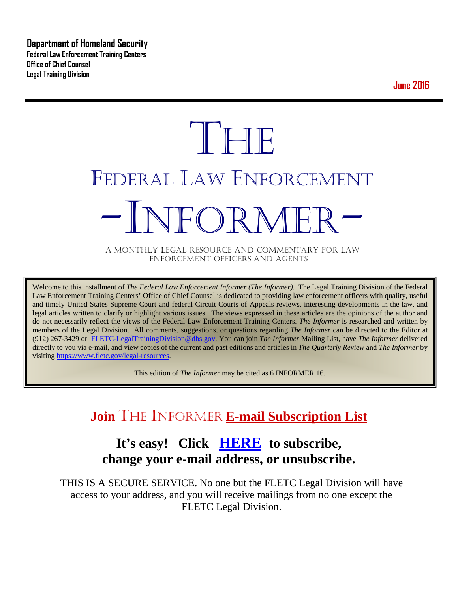**Department of Homeland Security Federal Law Enforcement Training Centers Office of Chief Counsel Legal Training Division** 

**June 2016**

# **THE** FEDERAL LAW ENFORCEMENT -INFORMER- A MONTHLY LEGAL RESOURCE AND COMMENTARY FOR LAW

ENFORCEMENT OFFICERS AND AGENTS

Welcome to this installment of *The Federal Law Enforcement Informer (The Informer).* The Legal Training Division of the Federal Law Enforcement Training Centers' Office of Chief Counsel is dedicated to providing law enforcement officers with quality, useful and timely United States Supreme Court and federal Circuit Courts of Appeals reviews, interesting developments in the law, and legal articles written to clarify or highlight various issues. The views expressed in these articles are the opinions of the author and do not necessarily reflect the views of the Federal Law Enforcement Training Centers. *The Informer* is researched and written by members of the Legal Division. All comments, suggestions, or questions regarding *The Informer* can be directed to the Editor at (912) 267-3429 or [FLETC-LegalTrainingDivision@dhs.gov.](mailto:FLETC-LegalTrainingDivision@dhs.gov) You can join *The Informer* Mailing List, have *The Informer* delivered directly to you via e-mail, and view copies of the current and past editions and articles in *The Quarterly Review* and *The Informer* by visiting [https://www.fletc.gov/legal-resources.](https://www.fletc.gov/legal-resources) 

This edition of *The Informer* may be cited as 6 INFORMER 16.

# **Join** THE INFORMER **E-mail Subscription List**

# **It's easy! Click [HERE](http://peach.ease.lsoft.com/scripts/wa.exe?SUBED1=fletclgd&A=1) to subscribe, change your e-mail address, or unsubscribe.**

THIS IS A SECURE SERVICE. No one but the FLETC Legal Division will have access to your address, and you will receive mailings from no one except the FLETC Legal Division.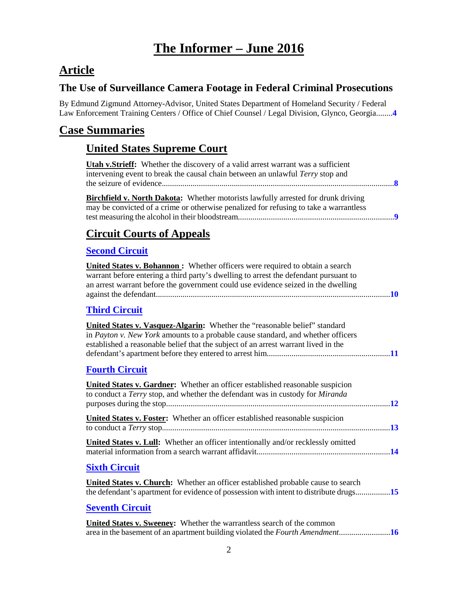# **The Informer – June 2016**

# **Article**

## **The Use of Surveillance Camera Footage in Federal Criminal Prosecutions**

By Edmund Zigmund Attorney-Advisor, United States Department of Homeland Security / Federal Law Enforcement Training Centers / Office of Chief Counsel / Legal Division, Glynco, Georgia........**[4](#page-3-0)**

# **Case Summaries**

## **United States Supreme Court**

| <b>Utah v.Strieff:</b> Whether the discovery of a valid arrest warrant was a sufficient<br>intervening event to break the causal chain between an unlawful Terry stop and                                                                                        |  |
|------------------------------------------------------------------------------------------------------------------------------------------------------------------------------------------------------------------------------------------------------------------|--|
| Birchfield v. North Dakota: Whether motorists lawfully arrested for drunk driving<br>may be convicted of a crime or otherwise penalized for refusing to take a warrantless                                                                                       |  |
| <b>Circuit Courts of Appeals</b>                                                                                                                                                                                                                                 |  |
| <b>Second Circuit</b>                                                                                                                                                                                                                                            |  |
| <b>United States v. Bohannon:</b> Whether officers were required to obtain a search<br>warrant before entering a third party's dwelling to arrest the defendant pursuant to<br>an arrest warrant before the government could use evidence seized in the dwelling |  |
| <b>Third Circuit</b>                                                                                                                                                                                                                                             |  |
| United States v. Vasquez-Algarin: Whether the "reasonable belief" standard<br>in Payton v. New York amounts to a probable cause standard, and whether officers<br>established a reasonable belief that the subject of an arrest warrant lived in the             |  |
| <b>Fourth Circuit</b>                                                                                                                                                                                                                                            |  |
| <b>United States v. Gardner:</b> Whether an officer established reasonable suspicion<br>to conduct a Terry stop, and whether the defendant was in custody for Miranda                                                                                            |  |
| United States v. Foster: Whether an officer established reasonable suspicion                                                                                                                                                                                     |  |
| United States v. Lull: Whether an officer intentionally and/or recklessly omitted                                                                                                                                                                                |  |
| <b>Sixth Circuit</b>                                                                                                                                                                                                                                             |  |
| <b>United States v. Church:</b> Whether an officer established probable cause to search<br>the defendant's apartment for evidence of possession with intent to distribute drugs15                                                                                |  |
| <b>Seventh Circuit</b>                                                                                                                                                                                                                                           |  |
| <b>United States v. Sweeney:</b> Whether the warrantless search of the common<br>area in the basement of an apartment building violated the Fourth Amendment16                                                                                                   |  |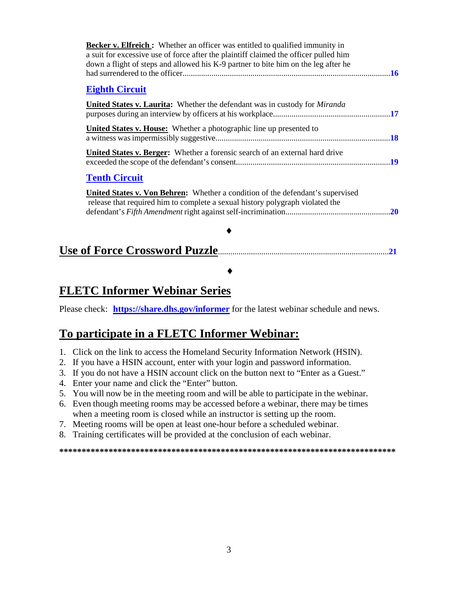| <b>Becker v. Elfreich :</b> Whether an officer was entitled to qualified immunity in<br>a suit for excessive use of force after the plaintiff claimed the officer pulled him<br>down a flight of steps and allowed his K-9 partner to bite him on the leg after he |  |
|--------------------------------------------------------------------------------------------------------------------------------------------------------------------------------------------------------------------------------------------------------------------|--|
| <b>Eighth Circuit</b>                                                                                                                                                                                                                                              |  |
| <b>United States v. Laurita:</b> Whether the defendant was in custody for <i>Miranda</i>                                                                                                                                                                           |  |
| <b>United States v. House:</b> Whether a photographic line up presented to                                                                                                                                                                                         |  |
| United States v. Berger: Whether a forensic search of an external hard drive                                                                                                                                                                                       |  |
| <b>Tenth Circuit</b>                                                                                                                                                                                                                                               |  |
| <b>United States v. Von Behren:</b> Whether a condition of the defendant's supervised<br>release that required him to complete a sexual history polygraph violated the                                                                                             |  |
|                                                                                                                                                                                                                                                                    |  |
|                                                                                                                                                                                                                                                                    |  |

# **FLETC Informer Webinar Series**

Please check: **<https://share.dhs.gov/informer>** for the latest webinar schedule and news.

♦

## **To participate in a FLETC Informer Webinar:**

- 1. Click on the link to access the Homeland Security Information Network (HSIN).
- 2. If you have a HSIN account, enter with your login and password information.
- 3. If you do not have a HSIN account click on the button next to "Enter as a Guest."
- 4. Enter your name and click the "Enter" button.
- 5. You will now be in the meeting room and will be able to participate in the webinar.
- 6. Even though meeting rooms may be accessed before a webinar, there may be times when a meeting room is closed while an instructor is setting up the room.
- 7. Meeting rooms will be open at least one-hour before a scheduled webinar.
- 8. Training certificates will be provided at the conclusion of each webinar.

**\*\*\*\*\*\*\*\*\*\*\*\*\*\*\*\*\*\*\*\*\*\*\*\*\*\*\*\*\*\*\*\*\*\*\*\*\*\*\*\*\*\*\*\*\*\*\*\*\*\*\*\*\*\*\*\*\*\*\*\*\*\*\*\*\*\*\*\*\*\*\*\*\*\*\***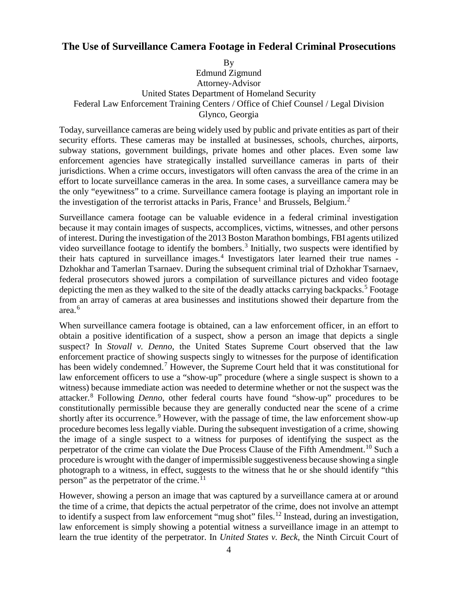## <span id="page-3-0"></span>**The Use of Surveillance Camera Footage in Federal Criminal Prosecutions**

By

Edmund Zigmund Attorney-Advisor United States Department of Homeland Security Federal Law Enforcement Training Centers / Office of Chief Counsel / Legal Division Glynco, Georgia

Today, surveillance cameras are being widely used by public and private entities as part of their security efforts. These cameras may be installed at businesses, schools, churches, airports, subway stations, government buildings, private homes and other places. Even some law enforcement agencies have strategically installed surveillance cameras in parts of their jurisdictions. When a crime occurs, investigators will often canvass the area of the crime in an effort to locate surveillance cameras in the area. In some cases, a surveillance camera may be the only "eyewitness" to a crime. Surveillance camera footage is playing an important role in the investigation of the terrorist attacks in Paris, France<sup>[1](#page-5-0)</sup> and Brussels, Belgium.<sup>[2](#page-5-1)</sup>

Surveillance camera footage can be valuable evidence in a federal criminal investigation because it may contain images of suspects, accomplices, victims, witnesses, and other persons of interest. During the investigation of the 2013 Boston Marathon bombings, FBI agents utilized video surveillance footage to identify the bombers.<sup>[3](#page-5-2)</sup> Initially, two suspects were identified by their hats captured in surveillance images.[4](#page-5-3) Investigators later learned their true names - Dzhokhar and Tamerlan Tsarnaev. During the subsequent criminal trial of Dzhokhar Tsarnaev, federal prosecutors showed jurors a compilation of surveillance pictures and video footage depicting the men as they walked to the site of the deadly attacks carrying backpacks.<sup>[5](#page-5-4)</sup> Footage from an array of cameras at area businesses and institutions showed their departure from the area.[6](#page-5-5)

When surveillance camera footage is obtained, can a law enforcement officer, in an effort to obtain a positive identification of a suspect, show a person an image that depicts a single suspect? In *Stovall v. Denno*, the United States Supreme Court observed that the law enforcement practice of showing suspects singly to witnesses for the purpose of identification has been widely condemned.<sup>[7](#page-5-6)</sup> However, the Supreme Court held that it was constitutional for law enforcement officers to use a "show-up" procedure (where a single suspect is shown to a witness) because immediate action was needed to determine whether or not the suspect was the attacker.[8](#page-5-7) Following *Denno*, other federal courts have found "show-up" procedures to be constitutionally permissible because they are generally conducted near the scene of a crime shortly after its occurrence.<sup>[9](#page-5-8)</sup> However, with the passage of time, the law enforcement show-up procedure becomes less legally viable. During the subsequent investigation of a crime, showing the image of a single suspect to a witness for purposes of identifying the suspect as the perpetrator of the crime can violate the Due Process Clause of the Fifth Amendment.<sup>[10](#page-5-9)</sup> Such a procedure is wrought with the danger of impermissible suggestiveness because showing a single photograph to a witness, in effect, suggests to the witness that he or she should identify "this person" as the perpetrator of the crime.<sup>11</sup>

However, showing a person an image that was captured by a surveillance camera at or around the time of a crime, that depicts the actual perpetrator of the crime, does not involve an attempt to identify a suspect from law enforcement "mug shot" files.<sup>[12](#page-5-11)</sup> Instead, during an investigation, law enforcement is simply showing a potential witness a surveillance image in an attempt to learn the true identity of the perpetrator. In *United States v. Beck*, the Ninth Circuit Court of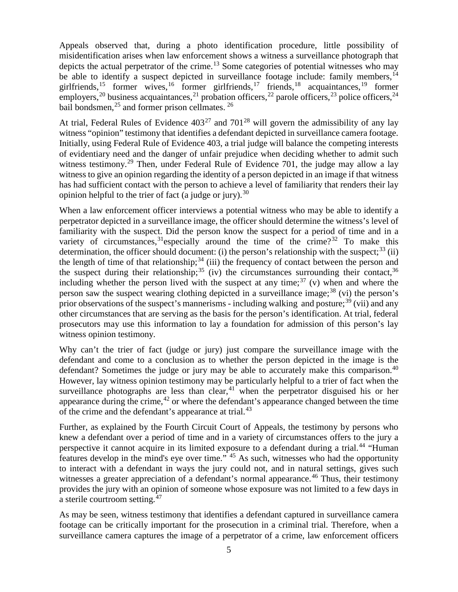Appeals observed that, during a photo identification procedure, little possibility of misidentification arises when law enforcement shows a witness a surveillance photograph that depicts the actual perpetrator of the crime.<sup>[13](#page-5-12)</sup> Some categories of potential witnesses who may be able to identify a suspect depicted in surveillance footage include: family members,  $14$ girlfriends,<sup>[15](#page-5-14)</sup> former wives,<sup>[16](#page-5-15)</sup> former girlfriends,<sup>[17](#page-5-16)</sup> friends,<sup>[18](#page-5-17)</sup> acquaintances,<sup>[19](#page-5-18)</sup> former employers,<sup>[20](#page-5-19)</sup> business acquaintances,<sup>[21](#page-5-20)</sup> probation officers,<sup>[22](#page-5-21)</sup> parole officers,<sup>[23](#page-6-0)</sup> police officers,<sup>[24](#page-6-1)</sup> bail bondsmen, $^{25}$  $^{25}$  $^{25}$  and former prison cellmates.  $^{26}$  $^{26}$  $^{26}$ 

At trial, Federal Rules of Evidence  $403^{27}$  $403^{27}$  $403^{27}$  and  $701^{28}$  $701^{28}$  $701^{28}$  will govern the admissibility of any lay witness "opinion" testimony that identifies a defendant depicted in surveillance camera footage. Initially, using Federal Rule of Evidence 403, a trial judge will balance the competing interests of evidentiary need and the danger of unfair prejudice when deciding whether to admit such witness testimony.<sup>[29](#page-6-6)</sup> Then, under Federal Rule of Evidence 701, the judge may allow a lay witness to give an opinion regarding the identity of a person depicted in an image if that witness has had sufficient contact with the person to achieve a level of familiarity that renders their lay opinion helpful to the trier of fact (a judge or jury).<sup>[30](#page-6-7)</sup>

When a law enforcement officer interviews a potential witness who may be able to identify a perpetrator depicted in a surveillance image, the officer should determine the witness's level of familiarity with the suspect. Did the person know the suspect for a period of time and in a variety of circumstances,  $31$  especially around the time of the crime?<sup>[32](#page-6-9)</sup> To make this determination, the officer should document: (i) the person's relationship with the suspect:  $33$  (ii) the length of time of that relationship;  $34$  (iii) the frequency of contact between the person and the suspect during their relationship;<sup>[35](#page-6-12)</sup> (iv) the circumstances surrounding their contact,<sup>[36](#page-6-13)</sup> including whether the person lived with the suspect at any time;<sup>[37](#page-6-14)</sup> (v) when and where the person saw the suspect wearing clothing depicted in a surveillance image;  $38$  (vi) the person's prior observations of the suspect's mannerisms - including walking and posture;<sup>[39](#page-6-16)</sup> (vii) and any other circumstances that are serving as the basis for the person's identification. At trial, federal prosecutors may use this information to lay a foundation for admission of this person's lay witness opinion testimony.

Why can't the trier of fact (judge or jury) just compare the surveillance image with the defendant and come to a conclusion as to whether the person depicted in the image is the defendant? Sometimes the judge or jury may be able to accurately make this comparison.<sup>[40](#page-6-17)</sup> However, lay witness opinion testimony may be particularly helpful to a trier of fact when the surveillance photographs are less than clear,  $41$  when the perpetrator disguised his or her appearance during the crime,  $42$  or where the defendant's appearance changed between the time of the crime and the defendant's appearance at trial.<sup>[43](#page-6-20)</sup>

Further, as explained by the Fourth Circuit Court of Appeals, the testimony by persons who knew a defendant over a period of time and in a variety of circumstances offers to the jury a perspective it cannot acquire in its limited exposure to a defendant during a trial.<sup>[44](#page-6-21)</sup> "Human features develop in the mind's eye over time." [45](#page-6-22) As such, witnesses who had the opportunity to interact with a defendant in ways the jury could not, and in natural settings, gives such witnesses a greater appreciation of a defendant's normal appearance.<sup>[46](#page-6-23)</sup> Thus, their testimony provides the jury with an opinion of someone whose exposure was not limited to a few days in a sterile courtroom setting.[47](#page-6-24)

As may be seen, witness testimony that identifies a defendant captured in surveillance camera footage can be critically important for the prosecution in a criminal trial. Therefore, when a surveillance camera captures the image of a perpetrator of a crime, law enforcement officers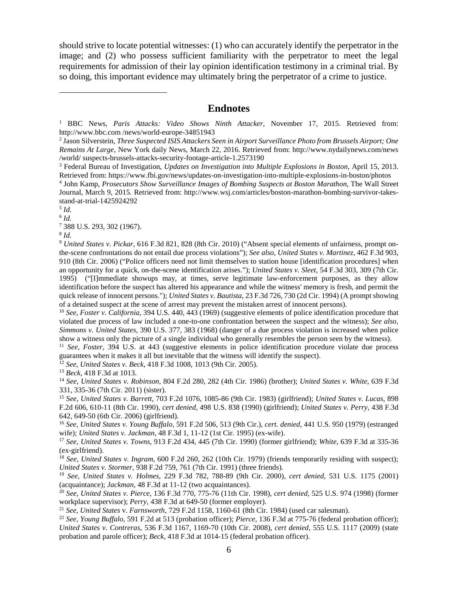should strive to locate potential witnesses: (1) who can accurately identify the perpetrator in the image; and (2) who possess sufficient familiarity with the perpetrator to meet the legal requirements for admission of their lay opinion identification testimony in a criminal trial. By so doing, this important evidence may ultimately bring the perpetrator of a crime to justice.

#### **Endnotes**

<span id="page-5-0"></span><sup>1</sup> BBC News, *Paris Attacks: Video Shows Ninth Attacker*, November 17, 2015. Retrieved from: http://www.bbc.com /news/world-europe-34851943

<span id="page-5-1"></span><sup>2</sup> Jason Silverstein, *Three Suspected ISIS Attackers Seen in Airport Surveillance Photo from Brussels Airport; One Remains At Large*, New York daily News, March 22, 2016. Retrieved from: http://www.nydailynews.com/news /world/ suspects-brussels-attacks-security-footage-article-1.2573190

<span id="page-5-2"></span><sup>3</sup> Federal Bureau of Investigation, *Updates on Investigation into Multiple Explosions in Boston*, April 15, 2013. Retrieved from: https://www.fbi.gov/news/updates-on-investigation-into-multiple-explosions-in-boston/photos

<span id="page-5-3"></span><sup>4</sup> John Kamp, *Prosecutors Show Surveillance Images of Bombing Suspects at Boston Marathon*, The Wall Street Journal, March 9, 2015. Retrieved from: http://www.wsj.com/articles/boston-marathon-bombing-survivor-takesstand-at-trial-1425924292

<span id="page-5-4"></span><sup>5</sup> *Id.*

 $\overline{a}$ 

<span id="page-5-5"></span><sup>6</sup> *Id.*

<span id="page-5-6"></span><sup>7</sup> 388 U.S. 293, 302 (1967).

<span id="page-5-7"></span><sup>8</sup> *Id.*

<span id="page-5-8"></span><sup>9</sup> *United States v. Pickar*, 616 F.3d 821, 828 (8th Cir. 2010) ("Absent special elements of unfairness, prompt onthe-scene confrontations do not entail due process violations"); *See also*, *United States v. Martinez*, 462 F.3d 903, 910 (8th Cir. 2006) ("Police officers need not limit themselves to station house [identification procedures] when an opportunity for a quick, on-the-scene identification arises."); *United States v. Sleet*, 54 F.3d 303, 309 (7th Cir. 1995) ("[I]mmediate showups may, at times, serve legitimate law-enforcement purposes, as they allow identification before the suspect has altered his appearance and while the witness' memory is fresh, and permit the quick release of innocent persons."); *United States v. Bautista*, 23 F.3d 726, 730 (2d Cir. 1994) (A prompt showing of a detained suspect at the scene of arrest may prevent the mistaken arrest of innocent persons).

<span id="page-5-9"></span><sup>10</sup> *See, Foster v. California*, 394 U.S. 440, 443 (1969) (suggestive elements of police identification procedure that violated due process of law included a one-to-one confrontation between the suspect and the witness); *See also*, *Simmons v. United States*, 390 U.S. 377, 383 (1968) (danger of a due process violation is increased when police show a witness only the picture of a single individual who generally resembles the person seen by the witness).

<span id="page-5-10"></span><sup>11</sup> *See*, *Foster*, 394 U.S. at 443 (suggestive elements in police identification procedure violate due process guarantees when it makes it all but inevitable that the witness will identify the suspect).

<span id="page-5-11"></span><sup>12</sup> *See*, *United States v. Beck*, 418 F.3d 1008, 1013 (9th Cir. 2005).

<span id="page-5-12"></span><sup>13</sup> *Beck*, 418 F.3d at 1013.

<span id="page-5-13"></span><sup>14</sup> *See*, *United States v. Robinson*, 804 F.2d 280, 282 (4th Cir. 1986) (brother); *United States v. White*, 639 F.3d 331, 335-36 (7th Cir. 2011) (sister).

<span id="page-5-14"></span><sup>15</sup> *See, United States v. Barrett*, 703 F.2d 1076, 1085-86 (9th Cir. 1983) (girlfriend); *United States v. Lucas*, 898 F.2d 606, 610-11 (8th Cir. 1990), *cert denied*, 498 U.S. 838 (1990) (girlfriend); *United States v. Perry*, 438 F.3d 642, 649-50 (6th Cir. 2006) (girlfriend).

<span id="page-5-15"></span><sup>16</sup> *See, United States v. Young Buffalo,* 591 F.2d 506, 513 (9th Cir.)*, cert. denied,* 441 U.S. 950 (1979) (estranged wife); *United States v. Jackman*, 48 F.3d 1, 11-12 (1st Cir. 1995) (ex-wife).

<span id="page-5-16"></span><sup>17</sup> *See, United States v. Towns*, 913 F.2d 434, 445 (7th Cir. 1990) (former girlfriend); *White*, 639 F.3d at 335-36 (ex-girlfriend).

<span id="page-5-17"></span><sup>18</sup> *See, United States v. Ingram*, 600 F.2d 260, 262 (10th Cir. 1979) (friends temporarily residing with suspect); *United States v. Stormer*, 938 F.2d 759, 761 (7th Cir. 1991) (three friends).

<span id="page-5-18"></span><sup>19</sup> *See, United States v. Holmes*, 229 F.3d 782, 788-89 (9th Cir. 2000), *cert denied*, 531 U.S. 1175 (2001) (acquaintance); *Jackman*, 48 F.3d at 11-12 (two acquaintances).

<span id="page-5-19"></span><sup>20</sup> *See, United States v. Pierce*, 136 F.3d 770, 775-76 (11th Cir. 1998), *cert denied,* 525 U.S. 974 (1998) (former workplace supervisor); *Perry*, 438 F.3d at 649-50 (former employer).

<span id="page-5-20"></span><sup>21</sup> *See*, *United States* v. *Farnsworth,* 729 F.2d 1158, 1160-61 (8th Cir. 1984) (used car salesman).

<span id="page-5-21"></span><sup>22</sup> *See, Young Buffalo*, 591 F.2d at 513 (probation officer); *Pierce*, 136 F.3d at 775-76 (federal probation officer); *United States v. Contreras*, 536 F.3d 1167, 1169-70 (10th Cir. 2008), *cert denied*, 555 U.S. 1117 (2009) (state probation and parole officer); *Beck*, 418 F.3d at 1014-15 (federal probation officer).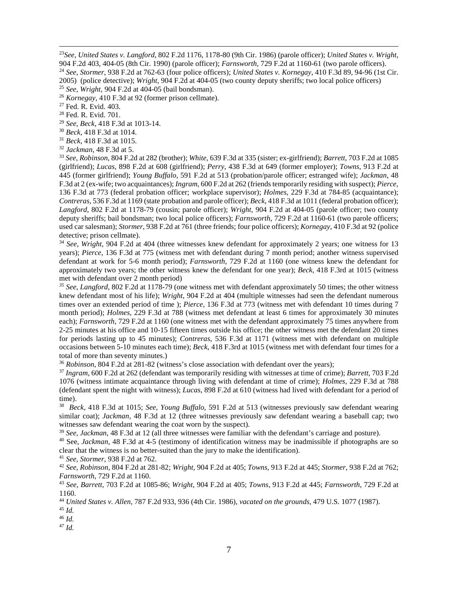<span id="page-6-1"></span><span id="page-6-0"></span> 23*See, United States v. Langford*, 802 F.2d 1176, 1178-80 (9th Cir. 1986) (parole officer); *United States v. Wright*, 904 F.2d 403, 404-05 (8th Cir. 1990) (parole officer); *Farnsworth*, 729 F.2d at 1160-61 (two parole officers). <sup>24</sup> *See, Stormer*, 938 F.2d at 762-63 (four police officers); *United States v. Kornegay*, 410 F.3d 89, 94-96 (1st Cir. 2005) (police detective); *Wright*, 904 F.2d at 404-05 (two county deputy sheriffs; two local police officers) <sup>25</sup> *See, Wright*, 904 F.2d at 404-05 (bail bondsman).

<span id="page-6-3"></span><span id="page-6-2"></span><sup>26</sup> *Kornegay*, 410 F.3d at 92 (former prison cellmate).

<span id="page-6-4"></span><sup>27</sup> Fed. R. Evid. 403.

<sup>28</sup> Fed. R. Evid. 701.

<span id="page-6-6"></span><span id="page-6-5"></span><sup>29</sup> *See*, *Beck*, 418 F.3d at 1013-14.

<span id="page-6-7"></span><sup>30</sup> *Beck,* 418 F.3d at 1014.

<sup>31</sup> *Beck*, 418 F.3d at 1015.

<span id="page-6-9"></span><span id="page-6-8"></span><sup>32</sup> *Jackman*, 48 F.3d at 5.

<span id="page-6-10"></span><sup>33</sup> *See*, *Robinson*, 804 F.2d at 282 (brother); *White*, 639 F.3d at 335 (sister; ex-girlfriend); *Barrett*, 703 F.2d at 1085 (girlfriend); *Lucas*, 898 F.2d at 608 (girlfriend); *Perry*, 438 F.3d at 649 (former employer); *Towns*, 913 F.2d at 445 (former girlfriend); *Young Buffalo,* 591 F.2d at 513 (probation/parole officer; estranged wife); *Jackman*, 48 F.3d at 2 (ex-wife; two acquaintances); *Ingram*, 600 F.2d at 262 (friends temporarily residing with suspect); *Pierce*, 136 F.3d at 773 (federal probation officer; workplace supervisor); *Holmes*, 229 F.3d at 784-85 (acquaintance); *Contreras*, 536 F.3d at 1169 (state probation and parole officer); *Beck*, 418 F.3d at 1011 (federal probation officer); *Langford*, 802 F.2d at 1178-79 (cousin; parole officer); *Wright*, 904 F.2d at 404-05 (parole officer; two county deputy sheriffs; bail bondsman; two local police officers); *Farnsworth*, 729 F.2d at 1160-61 (two parole officers; used car salesman); *Stormer*, 938 F.2d at 761 (three friends; four police officers); *Kornegay*, 410 F.3d at 92 (police detective; prison cellmate).

<span id="page-6-11"></span><sup>34</sup> *See*, *Wright*, 904 F.2d at 404 (three witnesses knew defendant for approximately 2 years; one witness for 13 years); *Pierce*, 136 F.3d at 775 (witness met with defendant during 7 month period; another witness supervised defendant at work for 5-6 month period); *Farnsworth,* 729 F.2d at 1160 (one witness knew the defendant for approximately two years; the other witness knew the defendant for one year); *Beck*, 418 F.3rd at 1015 (witness met with defendant over 2 month period)

<span id="page-6-12"></span>*<sup>35</sup> See*, *Langford*, 802 F.2d at 1178-79 (one witness met with defendant approximately 50 times; the other witness knew defendant most of his life); *Wright*, 904 F.2d at 404 (multiple witnesses had seen the defendant numerous times over an extended period of time ); *Pierce*, 136 F.3d at 773 (witness met with defendant 10 times during 7 month period); *Holmes*, 229 F.3d at 788 (witness met defendant at least 6 times for approximately 30 minutes each); *Farnsworth,* 729 F.2d at 1160 (one witness met with the defendant approximately 75 times anywhere from 2-25 minutes at his office and 10-15 fifteen times outside his office; the other witness met the defendant 20 times for periods lasting up to 45 minutes); *Contreras*, 536 F.3d at 1171 (witness met with defendant on multiple occasions between 5-10 minutes each time); *Beck*, 418 F.3rd at 1015 (witness met with defendant four times for a

<span id="page-6-13"></span>total of more than seventy minutes.)<br><sup>36</sup> *Robinson*, 804 F.2d at 281-82 (witness's close association with defendant over the years);

<span id="page-6-14"></span> $37$  Ingram, 600 F.2d at 262 (defendant was temporarily residing with witnesses at time of crime); Barrett, 703 F.2d 1076 (witness intimate acquaintance through living with defendant at time of crime); *Holmes*, 229 F.3d at 788 (defendant spent the night with witness); *Lucas*, 898 F.2d at 610 (witness had lived with defendant for a period of time).

<span id="page-6-15"></span>38 *Beck*, 418 F.3d at 1015; *See*, *Young Buffalo*, 591 F.2d at 513 (witnesses previously saw defendant wearing similar coat); *Jackman*, 48 F.3d at 12 (three witnesses previously saw defendant wearing a baseball cap; two witnesses saw defendant wearing the coat worn by the suspect).

<span id="page-6-16"></span><sup>39</sup> *See*, *Jackman*, 48 F.3d at 12 (all three witnesses were familiar with the defendant's carriage and posture).

<span id="page-6-17"></span><sup>40</sup> See, *Jackman*, 48 F.3d at 4-5 (testimony of identification witness may be inadmissible if photographs are so clear that the witness is no better-suited than the jury to make the identification).

<span id="page-6-18"></span><sup>41</sup> *See*, *Stormer*, 938 F.2d at 762.

<span id="page-6-19"></span><sup>42</sup> *See*, *Robinson*, 804 F.2d at 281-82; *Wright,* 904 F.2d at 405; *Towns*, 913 F.2d at 445; *Stormer*, 938 F.2d at 762; *Farnsworth*, 729 F.2d at 1160.

<span id="page-6-20"></span><sup>43</sup> *See*, *Barrett,* 703 F.2d at 1085-86; *Wright*, 904 F.2d at 405; *Towns*, 913 F.2d at 445; *Farnsworth*, 729 F.2d at 1160.

<span id="page-6-21"></span><sup>44</sup> *United States v. Allen*, 787 F.2d 933, 936 (4th Cir. 1986), *vacated on the grounds*, 479 U.S. 1077 (1987).

<sup>45</sup> *Id.*

<span id="page-6-23"></span><span id="page-6-22"></span><sup>46</sup> *Id.*

<span id="page-6-24"></span><sup>47</sup> *Id.*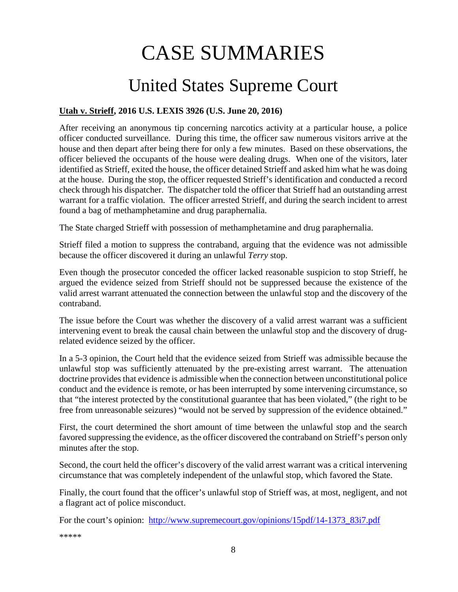# CASE SUMMARIES

# United States Supreme Court

### <span id="page-7-1"></span><span id="page-7-0"></span>**Utah v. Strieff, 2016 U.S. LEXIS 3926 (U.S. June 20, 2016)**

After receiving an anonymous tip concerning narcotics activity at a particular house, a police officer conducted surveillance. During this time, the officer saw numerous visitors arrive at the house and then depart after being there for only a few minutes. Based on these observations, the officer believed the occupants of the house were dealing drugs. When one of the visitors, later identified as Strieff, exited the house, the officer detained Strieff and asked him what he was doing at the house. During the stop, the officer requested Strieff's identification and conducted a record check through his dispatcher. The dispatcher told the officer that Strieff had an outstanding arrest warrant for a traffic violation. The officer arrested Strieff, and during the search incident to arrest found a bag of methamphetamine and drug paraphernalia.

The State charged Strieff with possession of methamphetamine and drug paraphernalia.

Strieff filed a motion to suppress the contraband, arguing that the evidence was not admissible because the officer discovered it during an unlawful *Terry* stop.

Even though the prosecutor conceded the officer lacked reasonable suspicion to stop Strieff, he argued the evidence seized from Strieff should not be suppressed because the existence of the valid arrest warrant attenuated the connection between the unlawful stop and the discovery of the contraband.

The issue before the Court was whether the discovery of a valid arrest warrant was a sufficient intervening event to break the causal chain between the unlawful stop and the discovery of drugrelated evidence seized by the officer.

In a 5-3 opinion, the Court held that the evidence seized from Strieff was admissible because the unlawful stop was sufficiently attenuated by the pre-existing arrest warrant. The attenuation doctrine provides that evidence is admissible when the connection between unconstitutional police conduct and the evidence is remote, or has been interrupted by some intervening circumstance, so that "the interest protected by the constitutional guarantee that has been violated," (the right to be free from unreasonable seizures) "would not be served by suppression of the evidence obtained."

First, the court determined the short amount of time between the unlawful stop and the search favored suppressing the evidence, as the officer discovered the contraband on Strieff's person only minutes after the stop.

Second, the court held the officer's discovery of the valid arrest warrant was a critical intervening circumstance that was completely independent of the unlawful stop, which favored the State.

Finally, the court found that the officer's unlawful stop of Strieff was, at most, negligent, and not a flagrant act of police misconduct.

For the court's opinion: [http://www.supremecourt.gov/opinions/15pdf/14-1373\\_83i7.pdf](http://www.supremecourt.gov/opinions/15pdf/14-1373_83i7.pdf)

\*\*\*\*\*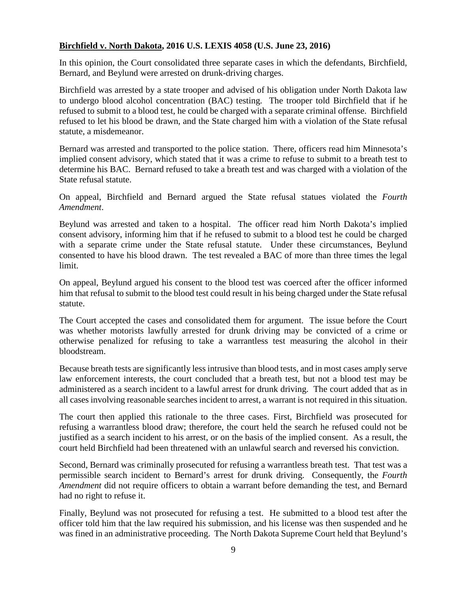#### <span id="page-8-0"></span>**Birchfield v. North Dakota, 2016 U.S. LEXIS 4058 (U.S. June 23, 2016)**

In this opinion, the Court consolidated three separate cases in which the defendants, Birchfield, Bernard, and Beylund were arrested on drunk-driving charges.

Birchfield was arrested by a state trooper and advised of his obligation under North Dakota law to undergo blood alcohol concentration (BAC) testing. The trooper told Birchfield that if he refused to submit to a blood test, he could be charged with a separate criminal offense. Birchfield refused to let his blood be drawn, and the State charged him with a violation of the State refusal statute, a misdemeanor.

Bernard was arrested and transported to the police station. There, officers read him Minnesota's implied consent advisory, which stated that it was a crime to refuse to submit to a breath test to determine his BAC. Bernard refused to take a breath test and was charged with a violation of the State refusal statute.

On appeal, Birchfield and Bernard argued the State refusal statues violated the *Fourth Amendment*.

Beylund was arrested and taken to a hospital. The officer read him North Dakota's implied consent advisory, informing him that if he refused to submit to a blood test he could be charged with a separate crime under the State refusal statute. Under these circumstances, Beylund consented to have his blood drawn. The test revealed a BAC of more than three times the legal limit.

On appeal, Beylund argued his consent to the blood test was coerced after the officer informed him that refusal to submit to the blood test could result in his being charged under the State refusal statute.

The Court accepted the cases and consolidated them for argument. The issue before the Court was whether motorists lawfully arrested for drunk driving may be convicted of a crime or otherwise penalized for refusing to take a warrantless test measuring the alcohol in their bloodstream.

Because breath tests are significantly less intrusive than blood tests, and in most cases amply serve law enforcement interests, the court concluded that a breath test, but not a blood test may be administered as a search incident to a lawful arrest for drunk driving. The court added that as in all cases involving reasonable searches incident to arrest, a warrant is not required in this situation.

The court then applied this rationale to the three cases. First, Birchfield was prosecuted for refusing a warrantless blood draw; therefore, the court held the search he refused could not be justified as a search incident to his arrest, or on the basis of the implied consent. As a result, the court held Birchfield had been threatened with an unlawful search and reversed his conviction.

Second, Bernard was criminally prosecuted for refusing a warrantless breath test. That test was a permissible search incident to Bernard's arrest for drunk driving. Consequently, the *Fourth Amendment* did not require officers to obtain a warrant before demanding the test, and Bernard had no right to refuse it.

Finally, Beylund was not prosecuted for refusing a test. He submitted to a blood test after the officer told him that the law required his submission, and his license was then suspended and he was fined in an administrative proceeding. The North Dakota Supreme Court held that Beylund's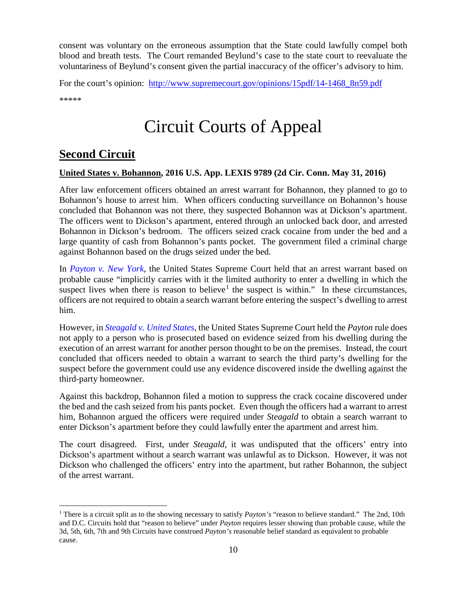consent was voluntary on the erroneous assumption that the State could lawfully compel both blood and breath tests. The Court remanded Beylund's case to the state court to reevaluate the voluntariness of Beylund's consent given the partial inaccuracy of the officer's advisory to him.

For the court's opinion: http://www.supremecourt.gov/opinions/15pdf/14-1468 8n59.pdf \*\*\*\*\*

# Circuit Courts of Appeal

# <span id="page-9-0"></span>**Second Circuit**

#### <span id="page-9-1"></span>**United States v. Bohannon, 2016 U.S. App. LEXIS 9789 (2d Cir. Conn. May 31, 2016)**

After law enforcement officers obtained an arrest warrant for Bohannon, they planned to go to Bohannon's house to arrest him. When officers conducting surveillance on Bohannon's house concluded that Bohannon was not there, they suspected Bohannon was at Dickson's apartment. The officers went to Dickson's apartment, entered through an unlocked back door, and arrested Bohannon in Dickson's bedroom. The officers seized crack cocaine from under the bed and a large quantity of cash from Bohannon's pants pocket. The government filed a criminal charge against Bohannon based on the drugs seized under the bed.

In *[Payton v. New York](https://supreme.justia.com/cases/federal/us/445/573/case.html)*, the United States Supreme Court held that an arrest warrant based on probable cause "implicitly carries with it the limited authority to enter a dwelling in which the suspect lives when there is reason to believe<sup>[1](#page-9-2)</sup> the suspect is within." In these circumstances, officers are not required to obtain a search warrant before entering the suspect's dwelling to arrest him.

However, in *[Steagald v. United States](https://supreme.justia.com/cases/federal/us/451/204/)*, the United States Supreme Court held the *Payton* rule does not apply to a person who is prosecuted based on evidence seized from his dwelling during the execution of an arrest warrant for another person thought to be on the premises. Instead, the court concluded that officers needed to obtain a warrant to search the third party's dwelling for the suspect before the government could use any evidence discovered inside the dwelling against the third-party homeowner.

Against this backdrop, Bohannon filed a motion to suppress the crack cocaine discovered under the bed and the cash seized from his pants pocket. Even though the officers had a warrant to arrest him, Bohannon argued the officers were required under *Steagald* to obtain a search warrant to enter Dickson's apartment before they could lawfully enter the apartment and arrest him.

The court disagreed. First, under *Steagald*, it was undisputed that the officers' entry into Dickson's apartment without a search warrant was unlawful as to Dickson. However, it was not Dickson who challenged the officers' entry into the apartment, but rather Bohannon, the subject of the arrest warrant.

<span id="page-9-2"></span> <sup>1</sup> There is a circuit split as to the showing necessary to satisfy *Payton's* "reason to believe standard." The 2nd, 10th and D.C. Circuits hold that "reason to believe" under *Payton* requires lesser showing than probable cause, while the 3d, 5th, 6th, 7th and 9th Circuits have construed *Payton's* reasonable belief standard as equivalent to probable cause.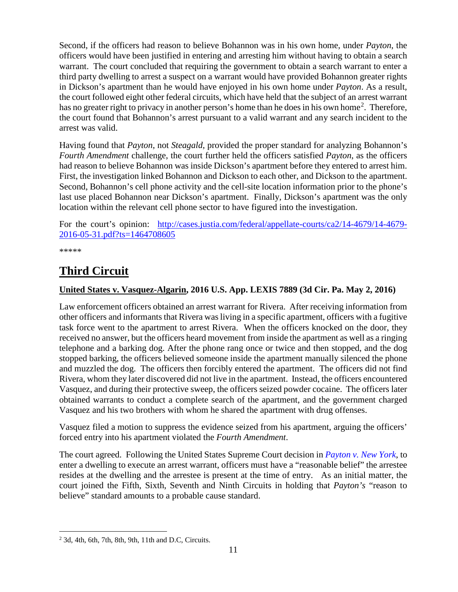Second, if the officers had reason to believe Bohannon was in his own home, under *Payton*, the officers would have been justified in entering and arresting him without having to obtain a search warrant. The court concluded that requiring the government to obtain a search warrant to enter a third party dwelling to arrest a suspect on a warrant would have provided Bohannon greater rights in Dickson's apartment than he would have enjoyed in his own home under *Payton*. As a result, the court followed eight other federal circuits, which have held that the subject of an arrest warrant has no greater right to privacy in another person's home than he does in his own home<sup>[2](#page-10-2)</sup>. Therefore, the court found that Bohannon's arrest pursuant to a valid warrant and any search incident to the arrest was valid.

Having found that *Payton*, not *Steagald*, provided the proper standard for analyzing Bohannon's *Fourth Amendment* challenge, the court further held the officers satisfied *Payton*, as the officers had reason to believe Bohannon was inside Dickson's apartment before they entered to arrest him. First, the investigation linked Bohannon and Dickson to each other, and Dickson to the apartment. Second, Bohannon's cell phone activity and the cell-site location information prior to the phone's last use placed Bohannon near Dickson's apartment. Finally, Dickson's apartment was the only location within the relevant cell phone sector to have figured into the investigation.

For the court's opinion: [http://cases.justia.com/federal/appellate-courts/ca2/14-4679/14-4679-](http://cases.justia.com/federal/appellate-courts/ca2/14-4679/14-4679-2016-05-31.pdf?ts=1464708605) [2016-05-31.pdf?ts=1464708605](http://cases.justia.com/federal/appellate-courts/ca2/14-4679/14-4679-2016-05-31.pdf?ts=1464708605)

\*\*\*\*\*

# <span id="page-10-0"></span>**Third Circuit**

### <span id="page-10-1"></span>**United States v. Vasquez-Algarin, 2016 U.S. App. LEXIS 7889 (3d Cir. Pa. May 2, 2016)**

Law enforcement officers obtained an arrest warrant for Rivera. After receiving information from other officers and informants that Rivera was living in a specific apartment, officers with a fugitive task force went to the apartment to arrest Rivera. When the officers knocked on the door, they received no answer, but the officers heard movement from inside the apartment as well as a ringing telephone and a barking dog. After the phone rang once or twice and then stopped, and the dog stopped barking, the officers believed someone inside the apartment manually silenced the phone and muzzled the dog. The officers then forcibly entered the apartment. The officers did not find Rivera, whom they later discovered did not live in the apartment. Instead, the officers encountered Vasquez, and during their protective sweep, the officers seized powder cocaine. The officers later obtained warrants to conduct a complete search of the apartment, and the government charged Vasquez and his two brothers with whom he shared the apartment with drug offenses.

Vasquez filed a motion to suppress the evidence seized from his apartment, arguing the officers' forced entry into his apartment violated the *Fourth Amendment*.

The court agreed. Following the United States Supreme Court decision in *[Payton v. New York](https://supreme.justia.com/cases/federal/us/445/573/case.html)*, to enter a dwelling to execute an arrest warrant, officers must have a "reasonable belief" the arrestee resides at the dwelling and the arrestee is present at the time of entry. As an initial matter, the court joined the Fifth, Sixth, Seventh and Ninth Circuits in holding that *Payton's* "reason to believe" standard amounts to a probable cause standard.

<span id="page-10-2"></span> $2$  3d, 4th, 6th, 7th, 8th, 9th, 11th and D.C, Circuits.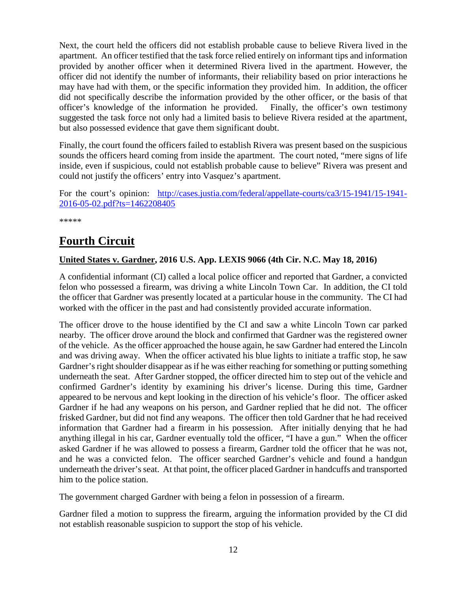Next, the court held the officers did not establish probable cause to believe Rivera lived in the apartment. An officer testified that the task force relied entirely on informant tips and information provided by another officer when it determined Rivera lived in the apartment. However, the officer did not identify the number of informants, their reliability based on prior interactions he may have had with them, or the specific information they provided him. In addition, the officer did not specifically describe the information provided by the other officer, or the basis of that officer's knowledge of the information he provided. Finally, the officer's own testimony suggested the task force not only had a limited basis to believe Rivera resided at the apartment, but also possessed evidence that gave them significant doubt.

Finally, the court found the officers failed to establish Rivera was present based on the suspicious sounds the officers heard coming from inside the apartment. The court noted, "mere signs of life inside, even if suspicious, could not establish probable cause to believe" Rivera was present and could not justify the officers' entry into Vasquez's apartment.

For the court's opinion: [http://cases.justia.com/federal/appellate-courts/ca3/15-1941/15-1941-](http://cases.justia.com/federal/appellate-courts/ca3/15-1941/15-1941-2016-05-02.pdf?ts=1462208405) [2016-05-02.pdf?ts=1462208405](http://cases.justia.com/federal/appellate-courts/ca3/15-1941/15-1941-2016-05-02.pdf?ts=1462208405)

\*\*\*\*\*

# <span id="page-11-0"></span>**Fourth Circuit**

### <span id="page-11-1"></span>**United States v. Gardner, 2016 U.S. App. LEXIS 9066 (4th Cir. N.C. May 18, 2016)**

A confidential informant (CI) called a local police officer and reported that Gardner, a convicted felon who possessed a firearm, was driving a white Lincoln Town Car. In addition, the CI told the officer that Gardner was presently located at a particular house in the community. The CI had worked with the officer in the past and had consistently provided accurate information.

The officer drove to the house identified by the CI and saw a white Lincoln Town car parked nearby. The officer drove around the block and confirmed that Gardner was the registered owner of the vehicle. As the officer approached the house again, he saw Gardner had entered the Lincoln and was driving away. When the officer activated his blue lights to initiate a traffic stop, he saw Gardner's right shoulder disappear as if he was either reaching for something or putting something underneath the seat. After Gardner stopped, the officer directed him to step out of the vehicle and confirmed Gardner's identity by examining his driver's license. During this time, Gardner appeared to be nervous and kept looking in the direction of his vehicle's floor. The officer asked Gardner if he had any weapons on his person, and Gardner replied that he did not. The officer frisked Gardner, but did not find any weapons. The officer then told Gardner that he had received information that Gardner had a firearm in his possession. After initially denying that he had anything illegal in his car, Gardner eventually told the officer, "I have a gun." When the officer asked Gardner if he was allowed to possess a firearm, Gardner told the officer that he was not, and he was a convicted felon. The officer searched Gardner's vehicle and found a handgun underneath the driver's seat. At that point, the officer placed Gardner in handcuffs and transported him to the police station.

The government charged Gardner with being a felon in possession of a firearm.

Gardner filed a motion to suppress the firearm, arguing the information provided by the CI did not establish reasonable suspicion to support the stop of his vehicle.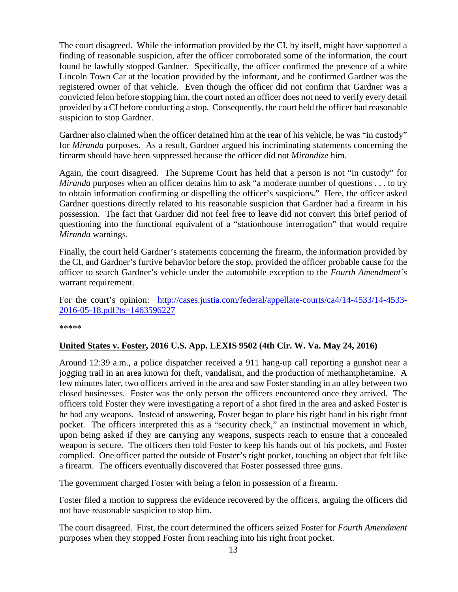The court disagreed. While the information provided by the CI, by itself, might have supported a finding of reasonable suspicion, after the officer corroborated some of the information, the court found he lawfully stopped Gardner. Specifically, the officer confirmed the presence of a white Lincoln Town Car at the location provided by the informant, and he confirmed Gardner was the registered owner of that vehicle. Even though the officer did not confirm that Gardner was a convicted felon before stopping him, the court noted an officer does not need to verify every detail provided by a CI before conducting a stop. Consequently, the court held the officer had reasonable suspicion to stop Gardner.

Gardner also claimed when the officer detained him at the rear of his vehicle, he was "in custody" for *Miranda* purposes. As a result, Gardner argued his incriminating statements concerning the firearm should have been suppressed because the officer did not *Mirandize* him.

Again, the court disagreed. The Supreme Court has held that a person is not "in custody" for *Miranda* purposes when an officer detains him to ask "a moderate number of questions . . . to try to obtain information confirming or dispelling the officer's suspicions." Here, the officer asked Gardner questions directly related to his reasonable suspicion that Gardner had a firearm in his possession. The fact that Gardner did not feel free to leave did not convert this brief period of questioning into the functional equivalent of a "stationhouse interrogation" that would require *Miranda* warnings.

Finally, the court held Gardner's statements concerning the firearm, the information provided by the CI, and Gardner's furtive behavior before the stop, provided the officer probable cause for the officer to search Gardner's vehicle under the automobile exception to the *Fourth Amendment's* warrant requirement.

For the court's opinion: [http://cases.justia.com/federal/appellate-courts/ca4/14-4533/14-4533-](http://cases.justia.com/federal/appellate-courts/ca4/14-4533/14-4533-2016-05-18.pdf?ts=1463596227) [2016-05-18.pdf?ts=1463596227](http://cases.justia.com/federal/appellate-courts/ca4/14-4533/14-4533-2016-05-18.pdf?ts=1463596227)

\*\*\*\*\*

#### <span id="page-12-0"></span>**United States v. Foster, 2016 U.S. App. LEXIS 9502 (4th Cir. W. Va. May 24, 2016)**

Around 12:39 a.m., a police dispatcher received a 911 hang-up call reporting a gunshot near a jogging trail in an area known for theft, vandalism, and the production of methamphetamine. A few minutes later, two officers arrived in the area and saw Foster standing in an alley between two closed businesses. Foster was the only person the officers encountered once they arrived. The officers told Foster they were investigating a report of a shot fired in the area and asked Foster is he had any weapons. Instead of answering, Foster began to place his right hand in his right front pocket. The officers interpreted this as a "security check," an instinctual movement in which, upon being asked if they are carrying any weapons, suspects reach to ensure that a concealed weapon is secure. The officers then told Foster to keep his hands out of his pockets, and Foster complied. One officer patted the outside of Foster's right pocket, touching an object that felt like a firearm. The officers eventually discovered that Foster possessed three guns.

The government charged Foster with being a felon in possession of a firearm.

Foster filed a motion to suppress the evidence recovered by the officers, arguing the officers did not have reasonable suspicion to stop him.

The court disagreed. First, the court determined the officers seized Foster for *Fourth Amendment* purposes when they stopped Foster from reaching into his right front pocket.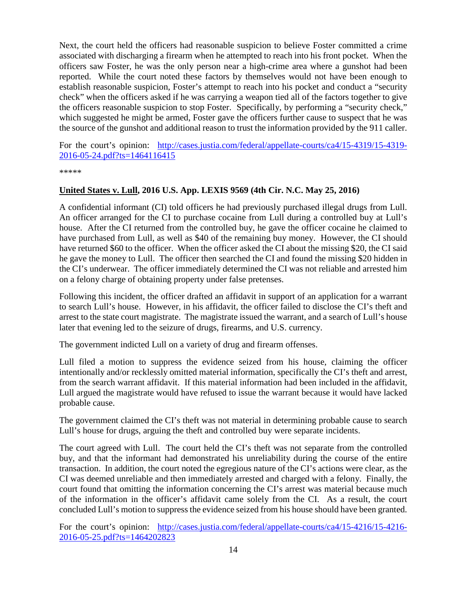Next, the court held the officers had reasonable suspicion to believe Foster committed a crime associated with discharging a firearm when he attempted to reach into his front pocket. When the officers saw Foster, he was the only person near a high-crime area where a gunshot had been reported. While the court noted these factors by themselves would not have been enough to establish reasonable suspicion, Foster's attempt to reach into his pocket and conduct a "security check" when the officers asked if he was carrying a weapon tied all of the factors together to give the officers reasonable suspicion to stop Foster. Specifically, by performing a "security check," which suggested he might be armed, Foster gave the officers further cause to suspect that he was the source of the gunshot and additional reason to trust the information provided by the 911 caller.

For the court's opinion: [http://cases.justia.com/federal/appellate-courts/ca4/15-4319/15-4319-](http://cases.justia.com/federal/appellate-courts/ca4/15-4319/15-4319-2016-05-24.pdf?ts=1464116415) [2016-05-24.pdf?ts=1464116415](http://cases.justia.com/federal/appellate-courts/ca4/15-4319/15-4319-2016-05-24.pdf?ts=1464116415)

\*\*\*\*\*

#### <span id="page-13-0"></span>**United States v. Lull, 2016 U.S. App. LEXIS 9569 (4th Cir. N.C. May 25, 2016)**

A confidential informant (CI) told officers he had previously purchased illegal drugs from Lull. An officer arranged for the CI to purchase cocaine from Lull during a controlled buy at Lull's house. After the CI returned from the controlled buy, he gave the officer cocaine he claimed to have purchased from Lull, as well as \$40 of the remaining buy money. However, the CI should have returned \$60 to the officer. When the officer asked the CI about the missing \$20, the CI said he gave the money to Lull. The officer then searched the CI and found the missing \$20 hidden in the CI's underwear. The officer immediately determined the CI was not reliable and arrested him on a felony charge of obtaining property under false pretenses.

Following this incident, the officer drafted an affidavit in support of an application for a warrant to search Lull's house. However, in his affidavit, the officer failed to disclose the CI's theft and arrest to the state court magistrate. The magistrate issued the warrant, and a search of Lull's house later that evening led to the seizure of drugs, firearms, and U.S. currency.

The government indicted Lull on a variety of drug and firearm offenses.

Lull filed a motion to suppress the evidence seized from his house, claiming the officer intentionally and/or recklessly omitted material information, specifically the CI's theft and arrest, from the search warrant affidavit. If this material information had been included in the affidavit, Lull argued the magistrate would have refused to issue the warrant because it would have lacked probable cause.

The government claimed the CI's theft was not material in determining probable cause to search Lull's house for drugs, arguing the theft and controlled buy were separate incidents.

The court agreed with Lull. The court held the CI's theft was not separate from the controlled buy, and that the informant had demonstrated his unreliability during the course of the entire transaction. In addition, the court noted the egregious nature of the CI's actions were clear, as the CI was deemed unreliable and then immediately arrested and charged with a felony. Finally, the court found that omitting the information concerning the CI's arrest was material because much of the information in the officer's affidavit came solely from the CI. As a result, the court concluded Lull's motion to suppress the evidence seized from his house should have been granted.

For the court's opinion: [http://cases.justia.com/federal/appellate-courts/ca4/15-4216/15-4216-](http://cases.justia.com/federal/appellate-courts/ca4/15-4216/15-4216-2016-05-25.pdf?ts=1464202823) [2016-05-25.pdf?ts=1464202823](http://cases.justia.com/federal/appellate-courts/ca4/15-4216/15-4216-2016-05-25.pdf?ts=1464202823)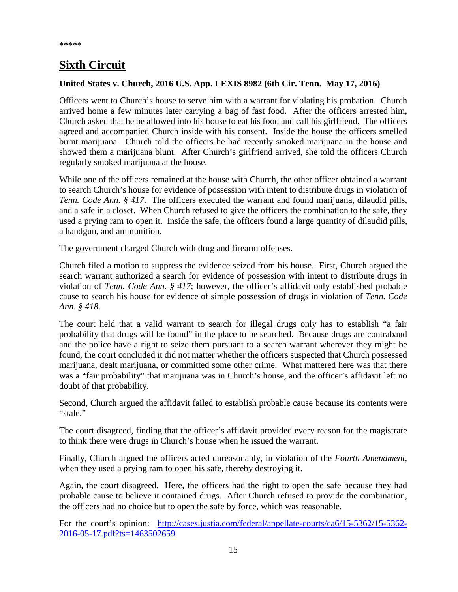# <span id="page-14-0"></span>**Sixth Circuit**

#### <span id="page-14-1"></span>**United States v. Church, 2016 U.S. App. LEXIS 8982 (6th Cir. Tenn. May 17, 2016)**

Officers went to Church's house to serve him with a warrant for violating his probation. Church arrived home a few minutes later carrying a bag of fast food. After the officers arrested him, Church asked that he be allowed into his house to eat his food and call his girlfriend. The officers agreed and accompanied Church inside with his consent. Inside the house the officers smelled burnt marijuana. Church told the officers he had recently smoked marijuana in the house and showed them a marijuana blunt. After Church's girlfriend arrived, she told the officers Church regularly smoked marijuana at the house.

While one of the officers remained at the house with Church, the other officer obtained a warrant to search Church's house for evidence of possession with intent to distribute drugs in violation of *Tenn. Code Ann.* § 417. The officers executed the warrant and found marijuana, dilaudid pills, and a safe in a closet. When Church refused to give the officers the combination to the safe, they used a prying ram to open it. Inside the safe, the officers found a large quantity of dilaudid pills, a handgun, and ammunition.

The government charged Church with drug and firearm offenses.

Church filed a motion to suppress the evidence seized from his house. First, Church argued the search warrant authorized a search for evidence of possession with intent to distribute drugs in violation of *Tenn. Code Ann. § 417*; however, the officer's affidavit only established probable cause to search his house for evidence of simple possession of drugs in violation of *Tenn. Code Ann. § 418*.

The court held that a valid warrant to search for illegal drugs only has to establish "a fair probability that drugs will be found" in the place to be searched. Because drugs are contraband and the police have a right to seize them pursuant to a search warrant wherever they might be found, the court concluded it did not matter whether the officers suspected that Church possessed marijuana, dealt marijuana, or committed some other crime. What mattered here was that there was a "fair probability" that marijuana was in Church's house, and the officer's affidavit left no doubt of that probability.

Second, Church argued the affidavit failed to establish probable cause because its contents were "stale."

The court disagreed, finding that the officer's affidavit provided every reason for the magistrate to think there were drugs in Church's house when he issued the warrant.

Finally, Church argued the officers acted unreasonably, in violation of the *Fourth Amendment*, when they used a prying ram to open his safe, thereby destroying it.

Again, the court disagreed. Here, the officers had the right to open the safe because they had probable cause to believe it contained drugs. After Church refused to provide the combination, the officers had no choice but to open the safe by force, which was reasonable.

For the court's opinion: [http://cases.justia.com/federal/appellate-courts/ca6/15-5362/15-5362-](http://cases.justia.com/federal/appellate-courts/ca6/15-5362/15-5362-2016-05-17.pdf?ts=1463502659) [2016-05-17.pdf?ts=1463502659](http://cases.justia.com/federal/appellate-courts/ca6/15-5362/15-5362-2016-05-17.pdf?ts=1463502659)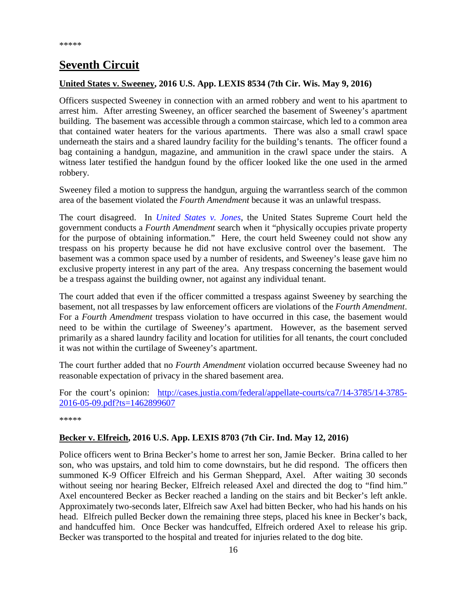# <span id="page-15-0"></span>**Seventh Circuit**

#### <span id="page-15-1"></span>**United States v. Sweeney, 2016 U.S. App. LEXIS 8534 (7th Cir. Wis. May 9, 2016)**

Officers suspected Sweeney in connection with an armed robbery and went to his apartment to arrest him. After arresting Sweeney, an officer searched the basement of Sweeney's apartment building. The basement was accessible through a common staircase, which led to a common area that contained water heaters for the various apartments. There was also a small crawl space underneath the stairs and a shared laundry facility for the building's tenants. The officer found a bag containing a handgun, magazine, and ammunition in the crawl space under the stairs. A witness later testified the handgun found by the officer looked like the one used in the armed robbery.

Sweeney filed a motion to suppress the handgun, arguing the warrantless search of the common area of the basement violated the *Fourth Amendment* because it was an unlawful trespass.

The court disagreed. In *[United States v.](http://www.supremecourt.gov/opinions/11pdf/10-1259.pdf) Jones*, the United States Supreme Court held the government conducts a *Fourth Amendment* search when it "physically occupies private property for the purpose of obtaining information." Here, the court held Sweeney could not show any trespass on his property because he did not have exclusive control over the basement. The basement was a common space used by a number of residents, and Sweeney's lease gave him no exclusive property interest in any part of the area. Any trespass concerning the basement would be a trespass against the building owner, not against any individual tenant.

The court added that even if the officer committed a trespass against Sweeney by searching the basement, not all trespasses by law enforcement officers are violations of the *Fourth Amendment*. For a *Fourth Amendment* trespass violation to have occurred in this case, the basement would need to be within the curtilage of Sweeney's apartment. However, as the basement served primarily as a shared laundry facility and location for utilities for all tenants, the court concluded it was not within the curtilage of Sweeney's apartment.

The court further added that no *Fourth Amendment* violation occurred because Sweeney had no reasonable expectation of privacy in the shared basement area.

For the court's opinion: [http://cases.justia.com/federal/appellate-courts/ca7/14-3785/14-3785-](http://cases.justia.com/federal/appellate-courts/ca7/14-3785/14-3785-2016-05-09.pdf?ts=1462899607) [2016-05-09.pdf?ts=1462899607](http://cases.justia.com/federal/appellate-courts/ca7/14-3785/14-3785-2016-05-09.pdf?ts=1462899607)

\*\*\*\*\*

#### <span id="page-15-2"></span>**Becker v. Elfreich, 2016 U.S. App. LEXIS 8703 (7th Cir. Ind. May 12, 2016)**

Police officers went to Brina Becker's home to arrest her son, Jamie Becker. Brina called to her son, who was upstairs, and told him to come downstairs, but he did respond. The officers then summoned K-9 Officer Elfreich and his German Sheppard, Axel. After waiting 30 seconds without seeing nor hearing Becker, Elfreich released Axel and directed the dog to "find him." Axel encountered Becker as Becker reached a landing on the stairs and bit Becker's left ankle. Approximately two-seconds later, Elfreich saw Axel had bitten Becker, who had his hands on his head. Elfreich pulled Becker down the remaining three steps, placed his knee in Becker's back, and handcuffed him. Once Becker was handcuffed, Elfreich ordered Axel to release his grip. Becker was transported to the hospital and treated for injuries related to the dog bite.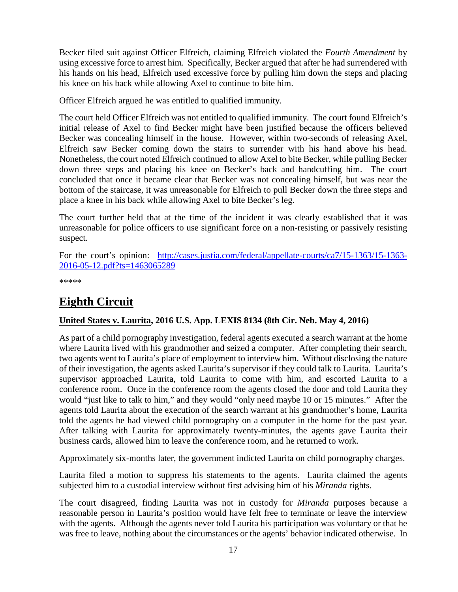Becker filed suit against Officer Elfreich, claiming Elfreich violated the *Fourth Amendment* by using excessive force to arrest him. Specifically, Becker argued that after he had surrendered with his hands on his head, Elfreich used excessive force by pulling him down the steps and placing his knee on his back while allowing Axel to continue to bite him.

Officer Elfreich argued he was entitled to qualified immunity.

The court held Officer Elfreich was not entitled to qualified immunity. The court found Elfreich's initial release of Axel to find Becker might have been justified because the officers believed Becker was concealing himself in the house. However, within two-seconds of releasing Axel, Elfreich saw Becker coming down the stairs to surrender with his hand above his head. Nonetheless, the court noted Elfreich continued to allow Axel to bite Becker, while pulling Becker down three steps and placing his knee on Becker's back and handcuffing him. The court concluded that once it became clear that Becker was not concealing himself, but was near the bottom of the staircase, it was unreasonable for Elfreich to pull Becker down the three steps and place a knee in his back while allowing Axel to bite Becker's leg.

The court further held that at the time of the incident it was clearly established that it was unreasonable for police officers to use significant force on a non-resisting or passively resisting suspect.

For the court's opinion: [http://cases.justia.com/federal/appellate-courts/ca7/15-1363/15-1363-](http://cases.justia.com/federal/appellate-courts/ca7/15-1363/15-1363-2016-05-12.pdf?ts=1463065289) [2016-05-12.pdf?ts=1463065289](http://cases.justia.com/federal/appellate-courts/ca7/15-1363/15-1363-2016-05-12.pdf?ts=1463065289)

\*\*\*\*\*

# <span id="page-16-0"></span>**Eighth Circuit**

#### <span id="page-16-1"></span>**United States v. Laurita, 2016 U.S. App. LEXIS 8134 (8th Cir. Neb. May 4, 2016)**

As part of a child pornography investigation, federal agents executed a search warrant at the home where Laurita lived with his grandmother and seized a computer. After completing their search, two agents went to Laurita's place of employment to interview him. Without disclosing the nature of their investigation, the agents asked Laurita's supervisor if they could talk to Laurita. Laurita's supervisor approached Laurita, told Laurita to come with him, and escorted Laurita to a conference room. Once in the conference room the agents closed the door and told Laurita they would "just like to talk to him," and they would "only need maybe 10 or 15 minutes." After the agents told Laurita about the execution of the search warrant at his grandmother's home, Laurita told the agents he had viewed child pornography on a computer in the home for the past year. After talking with Laurita for approximately twenty-minutes, the agents gave Laurita their business cards, allowed him to leave the conference room, and he returned to work.

Approximately six-months later, the government indicted Laurita on child pornography charges.

Laurita filed a motion to suppress his statements to the agents. Laurita claimed the agents subjected him to a custodial interview without first advising him of his *Miranda* rights.

The court disagreed, finding Laurita was not in custody for *Miranda* purposes because a reasonable person in Laurita's position would have felt free to terminate or leave the interview with the agents. Although the agents never told Laurita his participation was voluntary or that he was free to leave, nothing about the circumstances or the agents' behavior indicated otherwise. In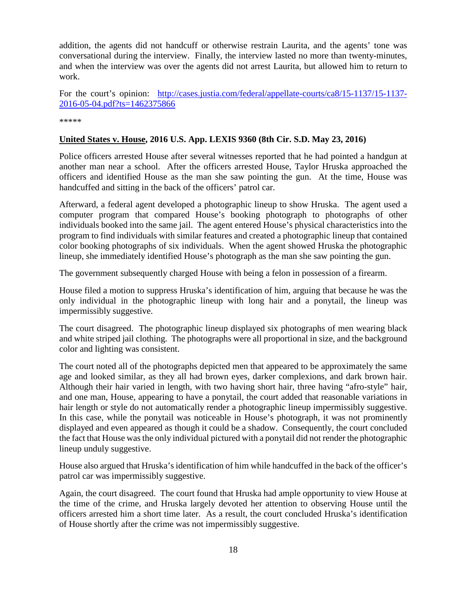addition, the agents did not handcuff or otherwise restrain Laurita, and the agents' tone was conversational during the interview. Finally, the interview lasted no more than twenty-minutes, and when the interview was over the agents did not arrest Laurita, but allowed him to return to work.

For the court's opinion: [http://cases.justia.com/federal/appellate-courts/ca8/15-1137/15-1137-](http://cases.justia.com/federal/appellate-courts/ca8/15-1137/15-1137-2016-05-04.pdf?ts=1462375866) [2016-05-04.pdf?ts=1462375866](http://cases.justia.com/federal/appellate-courts/ca8/15-1137/15-1137-2016-05-04.pdf?ts=1462375866)

\*\*\*\*\*

#### <span id="page-17-0"></span>**United States v. House, 2016 U.S. App. LEXIS 9360 (8th Cir. S.D. May 23, 2016)**

Police officers arrested House after several witnesses reported that he had pointed a handgun at another man near a school. After the officers arrested House, Taylor Hruska approached the officers and identified House as the man she saw pointing the gun. At the time, House was handcuffed and sitting in the back of the officers' patrol car.

Afterward, a federal agent developed a photographic lineup to show Hruska. The agent used a computer program that compared House's booking photograph to photographs of other individuals booked into the same jail. The agent entered House's physical characteristics into the program to find individuals with similar features and created a photographic lineup that contained color booking photographs of six individuals. When the agent showed Hruska the photographic lineup, she immediately identified House's photograph as the man she saw pointing the gun.

The government subsequently charged House with being a felon in possession of a firearm.

House filed a motion to suppress Hruska's identification of him, arguing that because he was the only individual in the photographic lineup with long hair and a ponytail, the lineup was impermissibly suggestive.

The court disagreed. The photographic lineup displayed six photographs of men wearing black and white striped jail clothing. The photographs were all proportional in size, and the background color and lighting was consistent.

The court noted all of the photographs depicted men that appeared to be approximately the same age and looked similar, as they all had brown eyes, darker complexions, and dark brown hair. Although their hair varied in length, with two having short hair, three having "afro-style" hair, and one man, House, appearing to have a ponytail, the court added that reasonable variations in hair length or style do not automatically render a photographic lineup impermissibly suggestive. In this case, while the ponytail was noticeable in House's photograph, it was not prominently displayed and even appeared as though it could be a shadow. Consequently, the court concluded the fact that House was the only individual pictured with a ponytail did not render the photographic lineup unduly suggestive.

House also argued that Hruska's identification of him while handcuffed in the back of the officer's patrol car was impermissibly suggestive.

Again, the court disagreed. The court found that Hruska had ample opportunity to view House at the time of the crime, and Hruska largely devoted her attention to observing House until the officers arrested him a short time later. As a result, the court concluded Hruska's identification of House shortly after the crime was not impermissibly suggestive.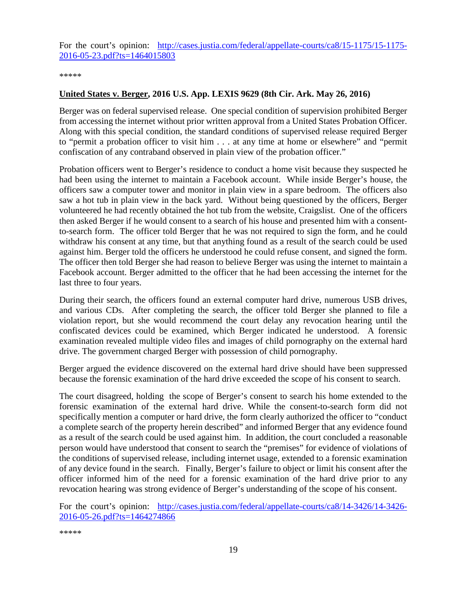For the court's opinion: [http://cases.justia.com/federal/appellate-courts/ca8/15-1175/15-1175-](http://cases.justia.com/federal/appellate-courts/ca8/15-1175/15-1175-2016-05-23.pdf?ts=1464015803) [2016-05-23.pdf?ts=1464015803](http://cases.justia.com/federal/appellate-courts/ca8/15-1175/15-1175-2016-05-23.pdf?ts=1464015803)

\*\*\*\*\*

#### <span id="page-18-0"></span>**United States v. Berger, 2016 U.S. App. LEXIS 9629 (8th Cir. Ark. May 26, 2016)**

Berger was on federal supervised release. One special condition of supervision prohibited Berger from accessing the internet without prior written approval from a United States Probation Officer. Along with this special condition, the standard conditions of supervised release required Berger to "permit a probation officer to visit him . . . at any time at home or elsewhere" and "permit confiscation of any contraband observed in plain view of the probation officer."

Probation officers went to Berger's residence to conduct a home visit because they suspected he had been using the internet to maintain a Facebook account. While inside Berger's house, the officers saw a computer tower and monitor in plain view in a spare bedroom. The officers also saw a hot tub in plain view in the back yard. Without being questioned by the officers, Berger volunteered he had recently obtained the hot tub from the website, Craigslist. One of the officers then asked Berger if he would consent to a search of his house and presented him with a consentto-search form. The officer told Berger that he was not required to sign the form, and he could withdraw his consent at any time, but that anything found as a result of the search could be used against him. Berger told the officers he understood he could refuse consent, and signed the form. The officer then told Berger she had reason to believe Berger was using the internet to maintain a Facebook account. Berger admitted to the officer that he had been accessing the internet for the last three to four years.

During their search, the officers found an external computer hard drive, numerous USB drives, and various CDs. After completing the search, the officer told Berger she planned to file a violation report, but she would recommend the court delay any revocation hearing until the confiscated devices could be examined, which Berger indicated he understood. A forensic examination revealed multiple video files and images of child pornography on the external hard drive. The government charged Berger with possession of child pornography.

Berger argued the evidence discovered on the external hard drive should have been suppressed because the forensic examination of the hard drive exceeded the scope of his consent to search.

The court disagreed, holding the scope of Berger's consent to search his home extended to the forensic examination of the external hard drive. While the consent-to-search form did not specifically mention a computer or hard drive, the form clearly authorized the officer to "conduct a complete search of the property herein described" and informed Berger that any evidence found as a result of the search could be used against him. In addition, the court concluded a reasonable person would have understood that consent to search the "premises" for evidence of violations of the conditions of supervised release, including internet usage, extended to a forensic examination of any device found in the search. Finally, Berger's failure to object or limit his consent after the officer informed him of the need for a forensic examination of the hard drive prior to any revocation hearing was strong evidence of Berger's understanding of the scope of his consent.

For the court's opinion: [http://cases.justia.com/federal/appellate-courts/ca8/14-3426/14-3426-](http://cases.justia.com/federal/appellate-courts/ca8/14-3426/14-3426-2016-05-26.pdf?ts=1464274866) [2016-05-26.pdf?ts=1464274866](http://cases.justia.com/federal/appellate-courts/ca8/14-3426/14-3426-2016-05-26.pdf?ts=1464274866)

\*\*\*\*\*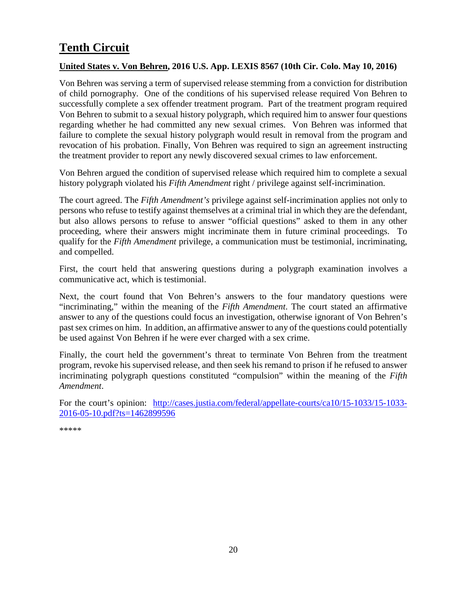# <span id="page-19-0"></span>**Tenth Circuit**

#### <span id="page-19-1"></span>**United States v. Von Behren, 2016 U.S. App. LEXIS 8567 (10th Cir. Colo. May 10, 2016)**

Von Behren was serving a term of supervised release stemming from a conviction for distribution of child pornography. One of the conditions of his supervised release required Von Behren to successfully complete a sex offender treatment program. Part of the treatment program required Von Behren to submit to a sexual history polygraph, which required him to answer four questions regarding whether he had committed any new sexual crimes. Von Behren was informed that failure to complete the sexual history polygraph would result in removal from the program and revocation of his probation. Finally, Von Behren was required to sign an agreement instructing the treatment provider to report any newly discovered sexual crimes to law enforcement.

Von Behren argued the condition of supervised release which required him to complete a sexual history polygraph violated his *Fifth Amendment* right / privilege against self-incrimination.

The court agreed. The *Fifth Amendment's* privilege against self-incrimination applies not only to persons who refuse to testify against themselves at a criminal trial in which they are the defendant, but also allows persons to refuse to answer "official questions" asked to them in any other proceeding, where their answers might incriminate them in future criminal proceedings. To qualify for the *Fifth Amendment* privilege, a communication must be testimonial, incriminating, and compelled.

First, the court held that answering questions during a polygraph examination involves a communicative act, which is testimonial.

Next, the court found that Von Behren's answers to the four mandatory questions were "incriminating," within the meaning of the *Fifth Amendment*. The court stated an affirmative answer to any of the questions could focus an investigation, otherwise ignorant of Von Behren's past sex crimes on him. In addition, an affirmative answer to any of the questions could potentially be used against Von Behren if he were ever charged with a sex crime.

Finally, the court held the government's threat to terminate Von Behren from the treatment program, revoke his supervised release, and then seek his remand to prison if he refused to answer incriminating polygraph questions constituted "compulsion" within the meaning of the *Fifth Amendment*.

For the court's opinion: [http://cases.justia.com/federal/appellate-courts/ca10/15-1033/15-1033-](http://cases.justia.com/federal/appellate-courts/ca10/15-1033/15-1033-2016-05-10.pdf?ts=1462899596) [2016-05-10.pdf?ts=1462899596](http://cases.justia.com/federal/appellate-courts/ca10/15-1033/15-1033-2016-05-10.pdf?ts=1462899596)

\*\*\*\*\*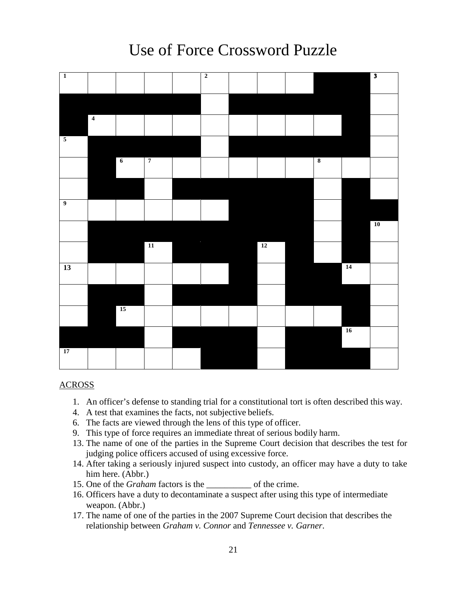# <span id="page-20-0"></span> $\overline{\mathbf{3}}$ **1 2 4 5 6 7 8 9 10 11 12 13 14 15 16 17**

# Use of Force Crossword Puzzle

#### ACROSS

- 1. An officer's defense to standing trial for a constitutional tort is often described this way.
- 4. A test that examines the facts, not subjective beliefs.
- 6. The facts are viewed through the lens of this type of officer.
- 9. This type of force requires an immediate threat of serious bodily harm.
- 13. The name of one of the parties in the Supreme Court decision that describes the test for judging police officers accused of using excessive force.
- 14. After taking a seriously injured suspect into custody, an officer may have a duty to take him here. (Abbr.)
- 15. One of the *Graham* factors is the \_\_\_\_\_\_\_\_\_\_ of the crime.
- 16. Officers have a duty to decontaminate a suspect after using this type of intermediate weapon. (Abbr.)
- 17. The name of one of the parties in the 2007 Supreme Court decision that describes the relationship between *Graham v. Connor* and *Tennessee v. Garner*.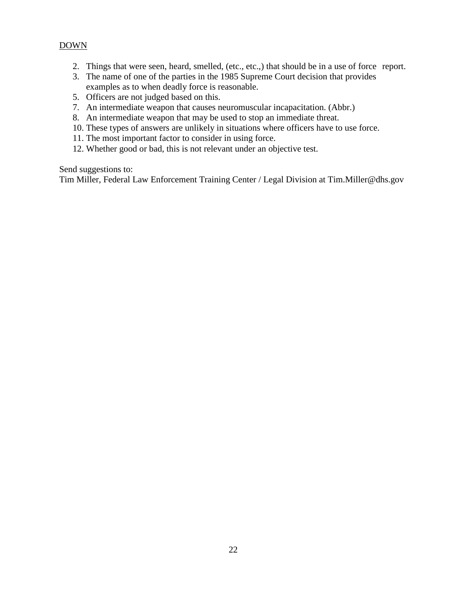#### DOWN

- 2. Things that were seen, heard, smelled, (etc., etc.,) that should be in a use of force report.
- 3. The name of one of the parties in the 1985 Supreme Court decision that provides examples as to when deadly force is reasonable.
- 5. Officers are not judged based on this.
- 7. An intermediate weapon that causes neuromuscular incapacitation. (Abbr.)
- 8. An intermediate weapon that may be used to stop an immediate threat.
- 10. These types of answers are unlikely in situations where officers have to use force.
- 11. The most important factor to consider in using force.
- 12. Whether good or bad, this is not relevant under an objective test.

Send suggestions to:

Tim Miller, Federal Law Enforcement Training Center / Legal Division at Tim.Miller@dhs.gov